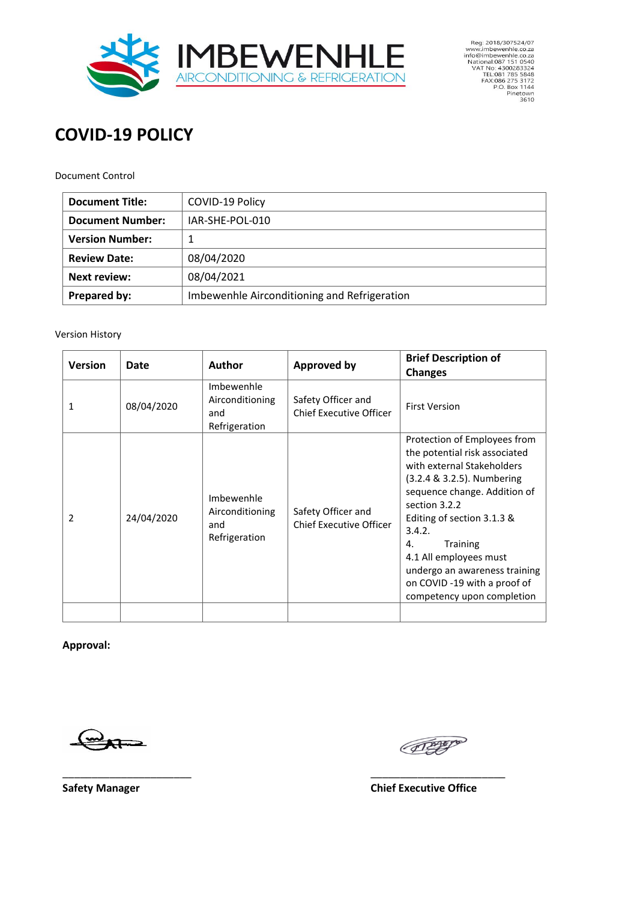

Reg: 2018/307524/07<br>
www.imbevenhle.co.za<br>
info@imbevenhle.co.za<br>
National:087 151 0540<br>
VAT No: 4300283324<br>
TEL:081 785 5848<br>
FAX:086 275 3172<br>
P.O. Box 1144<br>
Pinetown<br>
Pinetown<br>
3610

# **COVID-19 POLICY**

#### Document Control

| <b>Document Title:</b>  | COVID-19 Policy                              |  |
|-------------------------|----------------------------------------------|--|
| <b>Document Number:</b> | IAR-SHE-POL-010                              |  |
| <b>Version Number:</b>  | 1                                            |  |
| <b>Review Date:</b>     | 08/04/2020                                   |  |
| <b>Next review:</b>     | 08/04/2021                                   |  |
| Prepared by:            | Imbewenhle Airconditioning and Refrigeration |  |

#### Version History

| <b>Version</b> | Date       | Author                                                | <b>Approved by</b>                                   | <b>Brief Description of</b><br><b>Changes</b>                                                                                                                                                                                                                                                                                                                 |
|----------------|------------|-------------------------------------------------------|------------------------------------------------------|---------------------------------------------------------------------------------------------------------------------------------------------------------------------------------------------------------------------------------------------------------------------------------------------------------------------------------------------------------------|
| 1              | 08/04/2020 | Imbewenhle<br>Airconditioning<br>and<br>Refrigeration | Safety Officer and<br><b>Chief Executive Officer</b> | <b>First Version</b>                                                                                                                                                                                                                                                                                                                                          |
| 2              | 24/04/2020 | Imbewenhle<br>Airconditioning<br>and<br>Refrigeration | Safety Officer and<br><b>Chief Executive Officer</b> | Protection of Employees from<br>the potential risk associated<br>with external Stakeholders<br>(3.2.4 & 3.2.5). Numbering<br>sequence change. Addition of<br>section 3.2.2<br>Editing of section 3.1.3 &<br>3.4.2.<br>Training<br>4.<br>4.1 All employees must<br>undergo an awareness training<br>on COVID -19 with a proof of<br>competency upon completion |
|                |            |                                                       |                                                      |                                                                                                                                                                                                                                                                                                                                                               |

\_\_\_\_\_\_\_\_\_\_\_\_\_\_\_\_\_\_\_\_\_\_ \_\_\_\_\_\_\_\_\_\_\_\_\_\_\_\_\_\_\_\_\_\_\_

**Approval:**

FEEFE

**Safety Manager Chief Executive Office**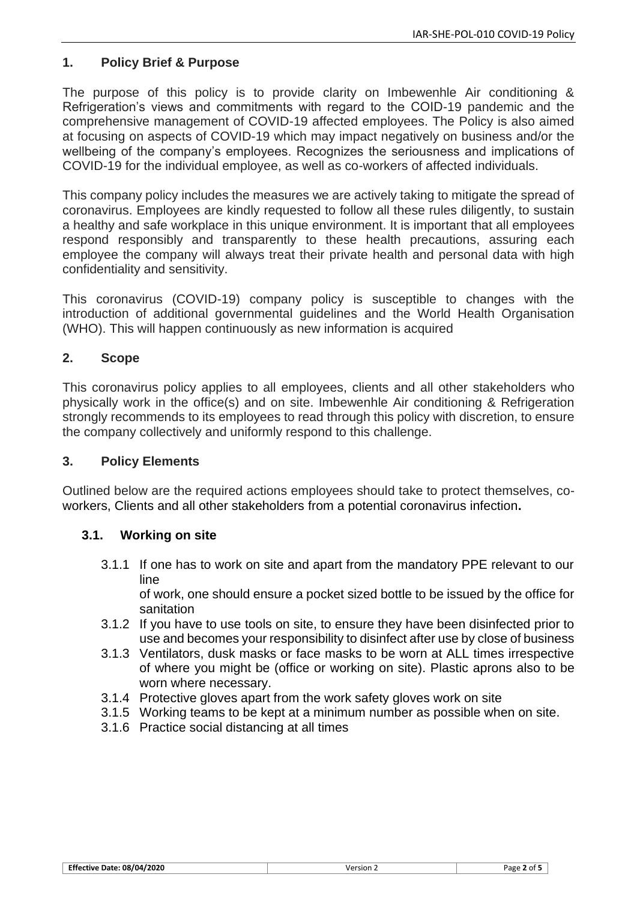# **1. Policy Brief & Purpose**

The purpose of this policy is to provide clarity on Imbewenhle Air conditioning & Refrigeration's views and commitments with regard to the COID-19 pandemic and the comprehensive management of COVID-19 affected employees. The Policy is also aimed at focusing on aspects of COVID-19 which may impact negatively on business and/or the wellbeing of the company's employees. Recognizes the seriousness and implications of COVID-19 for the individual employee, as well as co-workers of affected individuals.

This company policy includes the measures we are actively taking to mitigate the spread of coronavirus. Employees are kindly requested to follow all these rules diligently, to sustain a healthy and safe workplace in this unique environment. It is important that all employees respond responsibly and transparently to these health precautions, assuring each employee the company will always treat their private health and personal data with high confidentiality and sensitivity.

This coronavirus (COVID-19) company policy is susceptible to changes with the introduction of additional governmental guidelines and the World Health Organisation (WHO). This will happen continuously as new information is acquired

# **2. Scope**

This coronavirus policy applies to all employees, clients and all other stakeholders who physically work in the office(s) and on site. Imbewenhle Air conditioning & Refrigeration strongly recommends to its employees to read through this policy with discretion, to ensure the company collectively and uniformly respond to this challenge.

# **3. Policy Elements**

Outlined below are the required actions employees should take to protect themselves, coworkers, Clients and all other stakeholders from a potential coronavirus infection**.**

# **3.1. Working on site**

3.1.1 If one has to work on site and apart from the mandatory PPE relevant to our line

of work, one should ensure a pocket sized bottle to be issued by the office for sanitation

- 3.1.2 If you have to use tools on site, to ensure they have been disinfected prior to use and becomes your responsibility to disinfect after use by close of business
- 3.1.3 Ventilators, dusk masks or face masks to be worn at ALL times irrespective of where you might be (office or working on site). Plastic aprons also to be worn where necessary.
- 3.1.4 Protective gloves apart from the work safety gloves work on site
- 3.1.5 Working teams to be kept at a minimum number as possible when on site.
- 3.1.6 Practice social distancing at all times

| <b>Effective Date: 08/04/2020</b> | Version<br>____ | Page |
|-----------------------------------|-----------------|------|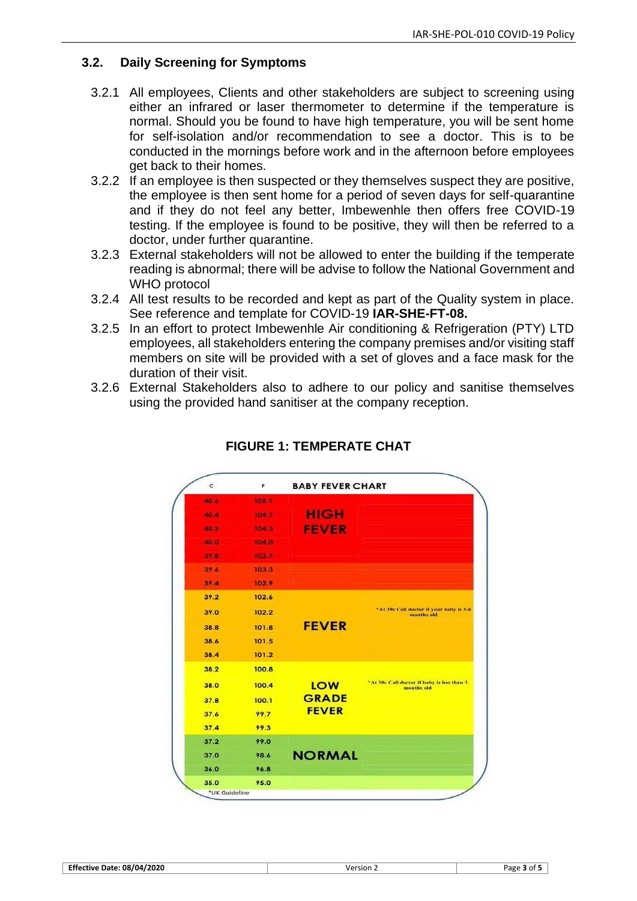# **3.2. Daily Screening for Symptoms**

- 3.2.1 All employees, Clients and other stakeholders are subject to screening using either an infrared or laser thermometer to determine if the temperature is normal. Should you be found to have high temperature, you will be sent home for self-isolation and/or recommendation to see a doctor. This is to be conducted in the mornings before work and in the afternoon before employees get back to their homes.
- 3.2.2 If an employee is then suspected or they themselves suspect they are positive, the employee is then sent home for a period of seven days for self-quarantine and if they do not feel any better, Imbewenhle then offers free COVID-19 testing. If the employee is found to be positive, they will then be referred to a doctor, under further quarantine.
- 3.2.3 External stakeholders will not be allowed to enter the building if the temperate reading is abnormal; there will be advise to follow the National Government and WHO protocol
- 3.2.4 All test results to be recorded and kept as part of the Quality system in place. See reference and template for COVID-19 **IAR-SHE-FT-08.**
- 3.2.5 In an effort to protect Imbewenhle Air conditioning & Refrigeration (PTY) LTD employees, all stakeholders entering the company premises and/or visiting staff members on site will be provided with a set of gloves and a face mask for the duration of their visit.
- 3.2.6 External Stakeholders also to adhere to our policy and sanitise themselves using the provided hand sanitiser at the company reception.



**FIGURE 1: TEMPERATE CHAT**

| <b>Effective Date: 08/04/2020</b> | Version | Page<br>∩t |
|-----------------------------------|---------|------------|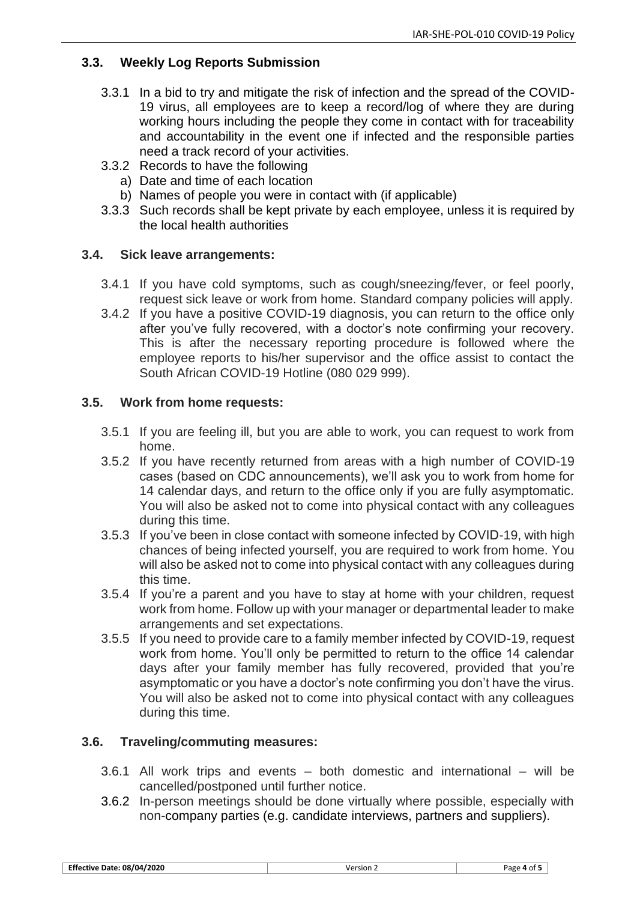# **3.3. Weekly Log Reports Submission**

- 3.3.1 In a bid to try and mitigate the risk of infection and the spread of the COVID-19 virus, all employees are to keep a record/log of where they are during working hours including the people they come in contact with for traceability and accountability in the event one if infected and the responsible parties need a track record of your activities.
- 3.3.2 Records to have the following
	- a) Date and time of each location
	- b) Names of people you were in contact with (if applicable)
- 3.3.3 Such records shall be kept private by each employee, unless it is required by the local health authorities

# **3.4. Sick leave arrangements:**

- 3.4.1 If you have cold symptoms, such as cough/sneezing/fever, or feel poorly, request sick leave or work from home. Standard company policies will apply.
- 3.4.2 If you have a positive COVID-19 diagnosis, you can return to the office only after you've fully recovered, with a doctor's note confirming your recovery. This is after the necessary reporting procedure is followed where the employee reports to his/her supervisor and the office assist to contact the South African COVID-19 Hotline (080 029 999).

# **3.5. Work from home requests:**

- 3.5.1 If you are feeling ill, but you are able to work, you can request to work from home.
- 3.5.2 If you have recently returned from areas with a high number of COVID-19 cases (based on CDC announcements), we'll ask you to work from home for 14 calendar days, and return to the office only if you are fully asymptomatic. You will also be asked not to come into physical contact with any colleagues during this time.
- 3.5.3 If you've been in close contact with someone infected by COVID-19, with high chances of being infected yourself, you are required to work from home. You will also be asked not to come into physical contact with any colleagues during this time.
- 3.5.4 If you're a parent and you have to stay at home with your children, request work from home. Follow up with your manager or departmental leader to make arrangements and set expectations.
- 3.5.5 If you need to provide care to a family member infected by COVID-19, request work from home. You'll only be permitted to return to the office 14 calendar days after your family member has fully recovered, provided that you're asymptomatic or you have a doctor's note confirming you don't have the virus. You will also be asked not to come into physical contact with any colleagues during this time.

# **3.6. Traveling/commuting measures:**

- 3.6.1 All work trips and events both domestic and international will be cancelled/postponed until further notice.
- 3.6.2 In-person meetings should be done virtually where possible, especially with non-company parties (e.g. candidate interviews, partners and suppliers).

| $-$<br>/2020<br>08/04<br>- Ettective<br>- Date :<br>___ | ersion<br>10r<br>____ | Page 4<br>דר<br>. . |
|---------------------------------------------------------|-----------------------|---------------------|
|                                                         |                       |                     |